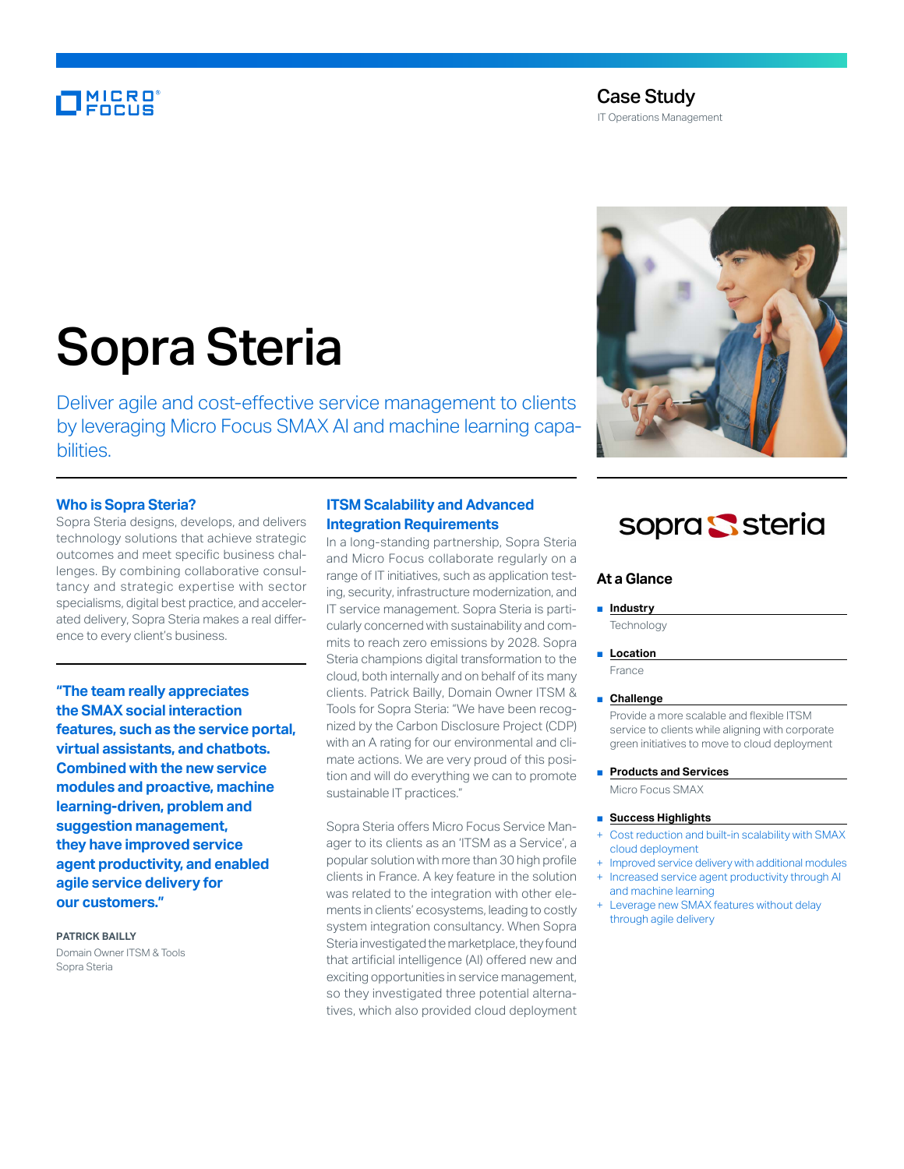# **MICRO**<br>FOCUS

# Case Study

IT Operations Management

# Sopra Steria

Deliver agile and cost-effective service management to clients by leveraging Micro Focus SMAX AI and machine learning capabilities.

#### **Who is Sopra Steria?**

Sopra Steria designs, develops, and delivers technology solutions that achieve strategic outcomes and meet specific business challenges. By combining collaborative consultancy and strategic expertise with sector specialisms, digital best practice, and accelerated delivery, Sopra Steria makes a real difference to every client's business.

**"The team really appreciates the SMAX social interaction features, such as the service portal, virtual assistants, and chatbots. Combined with the new service modules and proactive, machine learning-driven, problem and suggestion management, they have improved service agent productivity, and enabled agile service delivery for our customers."**

**PATRICK BAILLY** Domain Owner ITSM & Tools Sopra Steria

### **ITSM Scalability and Advanced Integration Requirements**

In a long-standing partnership, Sopra Steria and Micro Focus collaborate regularly on a range of IT initiatives, such as application testing, security, infrastructure modernization, and IT service management. Sopra Steria is particularly concerned with sustainability and commits to reach zero emissions by 2028. Sopra Steria champions digital transformation to the cloud, both internally and on behalf of its many clients. Patrick Bailly, Domain Owner ITSM & Tools for Sopra Steria: "We have been recognized by the Carbon Disclosure Project (CDP) with an A rating for our environmental and climate actions. We are very proud of this position and will do everything we can to promote sustainable IT practices."

Sopra Steria offers Micro Focus Service Manager to its clients as an 'ITSM as a Service', a popular solution with more than 30 high profile clients in France. A key feature in the solution was related to the integration with other elements in clients' ecosystems, leading to costly system integration consultancy. When Sopra Steria investigated the marketplace, they found that artificial intelligence (AI) offered new and exciting opportunities in service management, so they investigated three potential alternatives, which also provided cloud deployment



# sopra Ssteria

#### **At a Glance**

#### ■ **Industry**

**Technology** 

#### ■ **Location**

France

#### ■ **Challenge**

Provide a more scalable and flexible ITSM service to clients while aligning with corporate green initiatives to move to cloud deployment

#### ■ **Products and Services**

Micro Focus SMAX

#### ■ **Success Highlights**

- Cost reduction and built-in scalability with SMAX cloud deployment
- + Improved service delivery with additional modules
- Increased service agent productivity through AI and machine learning
- Leverage new SMAX features without delay through agile delivery